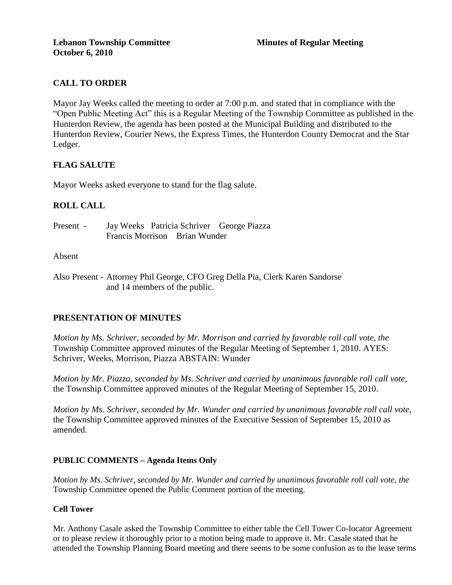## **CALL TO ORDER**

Mayor Jay Weeks called the meeting to order at 7:00 p.m. and stated that in compliance with the "Open Public Meeting Act" this is a Regular Meeting of the Township Committee as published in the Hunterdon Review, the agenda has been posted at the Municipal Building and distributed to the Hunterdon Review, Courier News, the Express Times, the Hunterdon County Democrat and the Star Ledger.

## **FLAG SALUTE**

Mayor Weeks asked everyone to stand for the flag salute.

## **ROLL CALL**

Present - Jay Weeks Patricia Schriver George Piazza Francis Morrison Brian Wunder

### Absent

Also Present - Attorney Phil George, CFO Greg Della Pia, Clerk Karen Sandorse and 14 members of the public.

## **PRESENTATION OF MINUTES**

*Motion by Ms. Schriver, seconded by Mr. Morrison and carried by favorable roll call vote, the* Township Committee approved minutes of the Regular Meeting of September 1, 2010. AYES: Schriver, Weeks, Morrison, Piazza ABSTAIN: Wunder

*Motion by Mr. Piazza, seconded by Ms. Schriver and carried by unanimous favorable roll call vote,* the Township Committee approved minutes of the Regular Meeting of September 15, 2010.

*Motion by Ms. Schriver, seconded by Mr. Wunder and carried by unanimous favorable roll call vote,* the Township Committee approved minutes of the Executive Session of September 15, 2010 as amended.

### **PUBLIC COMMENTS – Agenda Items Only**

*Motion by Ms. Schriver, seconded by Mr. Wunder and carried by unanimous favorable roll call vote, the* Township Committee opened the Public Comment portion of the meeting.

### **Cell Tower**

Mr. Anthony Casale asked the Township Committee to either table the Cell Tower Co-locator Agreement or to please review it thoroughly prior to a motion being made to approve it. Mr. Casale stated that he attended the Township Planning Board meeting and there seems to be some confusion as to the lease terms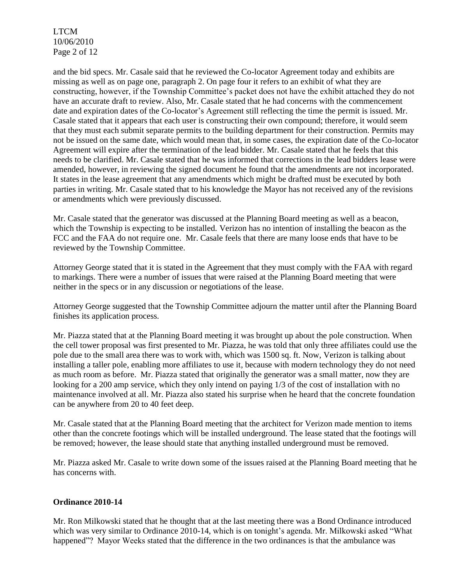LTCM 10/06/2010 Page 2 of 12

and the bid specs. Mr. Casale said that he reviewed the Co-locator Agreement today and exhibits are missing as well as on page one, paragraph 2. On page four it refers to an exhibit of what they are constructing, however, if the Township Committee's packet does not have the exhibit attached they do not have an accurate draft to review. Also, Mr. Casale stated that he had concerns with the commencement date and expiration dates of the Co-locator's Agreement still reflecting the time the permit is issued. Mr. Casale stated that it appears that each user is constructing their own compound; therefore, it would seem that they must each submit separate permits to the building department for their construction. Permits may not be issued on the same date, which would mean that, in some cases, the expiration date of the Co-locator Agreement will expire after the termination of the lead bidder. Mr. Casale stated that he feels that this needs to be clarified. Mr. Casale stated that he was informed that corrections in the lead bidders lease were amended, however, in reviewing the signed document he found that the amendments are not incorporated. It states in the lease agreement that any amendments which might be drafted must be executed by both parties in writing. Mr. Casale stated that to his knowledge the Mayor has not received any of the revisions or amendments which were previously discussed.

Mr. Casale stated that the generator was discussed at the Planning Board meeting as well as a beacon, which the Township is expecting to be installed. Verizon has no intention of installing the beacon as the FCC and the FAA do not require one. Mr. Casale feels that there are many loose ends that have to be reviewed by the Township Committee.

Attorney George stated that it is stated in the Agreement that they must comply with the FAA with regard to markings. There were a number of issues that were raised at the Planning Board meeting that were neither in the specs or in any discussion or negotiations of the lease.

Attorney George suggested that the Township Committee adjourn the matter until after the Planning Board finishes its application process.

Mr. Piazza stated that at the Planning Board meeting it was brought up about the pole construction. When the cell tower proposal was first presented to Mr. Piazza, he was told that only three affiliates could use the pole due to the small area there was to work with, which was 1500 sq. ft. Now, Verizon is talking about installing a taller pole, enabling more affiliates to use it, because with modern technology they do not need as much room as before. Mr. Piazza stated that originally the generator was a small matter, now they are looking for a 200 amp service, which they only intend on paying 1/3 of the cost of installation with no maintenance involved at all. Mr. Piazza also stated his surprise when he heard that the concrete foundation can be anywhere from 20 to 40 feet deep.

Mr. Casale stated that at the Planning Board meeting that the architect for Verizon made mention to items other than the concrete footings which will be installed underground. The lease stated that the footings will be removed; however, the lease should state that anything installed underground must be removed.

Mr. Piazza asked Mr. Casale to write down some of the issues raised at the Planning Board meeting that he has concerns with.

### **Ordinance 2010-14**

Mr. Ron Milkowski stated that he thought that at the last meeting there was a Bond Ordinance introduced which was very similar to Ordinance 2010-14, which is on tonight's agenda. Mr. Milkowski asked "What happened"? Mayor Weeks stated that the difference in the two ordinances is that the ambulance was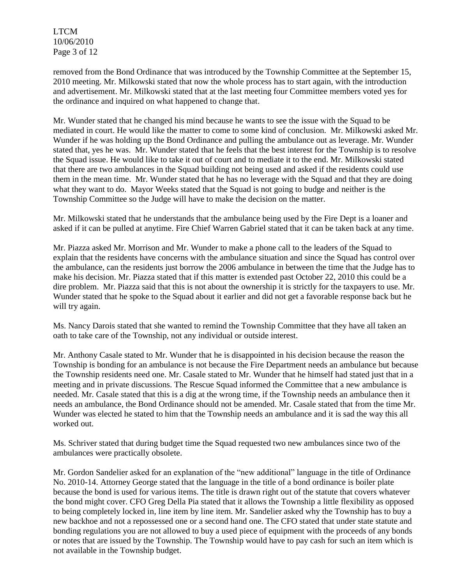LTCM 10/06/2010 Page 3 of 12

removed from the Bond Ordinance that was introduced by the Township Committee at the September 15, 2010 meeting. Mr. Milkowski stated that now the whole process has to start again, with the introduction and advertisement. Mr. Milkowski stated that at the last meeting four Committee members voted yes for the ordinance and inquired on what happened to change that.

Mr. Wunder stated that he changed his mind because he wants to see the issue with the Squad to be mediated in court. He would like the matter to come to some kind of conclusion. Mr. Milkowski asked Mr. Wunder if he was holding up the Bond Ordinance and pulling the ambulance out as leverage. Mr. Wunder stated that, yes he was. Mr. Wunder stated that he feels that the best interest for the Township is to resolve the Squad issue. He would like to take it out of court and to mediate it to the end. Mr. Milkowski stated that there are two ambulances in the Squad building not being used and asked if the residents could use them in the mean time. Mr. Wunder stated that he has no leverage with the Squad and that they are doing what they want to do. Mayor Weeks stated that the Squad is not going to budge and neither is the Township Committee so the Judge will have to make the decision on the matter.

Mr. Milkowski stated that he understands that the ambulance being used by the Fire Dept is a loaner and asked if it can be pulled at anytime. Fire Chief Warren Gabriel stated that it can be taken back at any time.

Mr. Piazza asked Mr. Morrison and Mr. Wunder to make a phone call to the leaders of the Squad to explain that the residents have concerns with the ambulance situation and since the Squad has control over the ambulance, can the residents just borrow the 2006 ambulance in between the time that the Judge has to make his decision. Mr. Piazza stated that if this matter is extended past October 22, 2010 this could be a dire problem. Mr. Piazza said that this is not about the ownership it is strictly for the taxpayers to use. Mr. Wunder stated that he spoke to the Squad about it earlier and did not get a favorable response back but he will try again.

Ms. Nancy Darois stated that she wanted to remind the Township Committee that they have all taken an oath to take care of the Township, not any individual or outside interest.

Mr. Anthony Casale stated to Mr. Wunder that he is disappointed in his decision because the reason the Township is bonding for an ambulance is not because the Fire Department needs an ambulance but because the Township residents need one. Mr. Casale stated to Mr. Wunder that he himself had stated just that in a meeting and in private discussions. The Rescue Squad informed the Committee that a new ambulance is needed. Mr. Casale stated that this is a dig at the wrong time, if the Township needs an ambulance then it needs an ambulance, the Bond Ordinance should not be amended. Mr. Casale stated that from the time Mr. Wunder was elected he stated to him that the Township needs an ambulance and it is sad the way this all worked out.

Ms. Schriver stated that during budget time the Squad requested two new ambulances since two of the ambulances were practically obsolete.

Mr. Gordon Sandelier asked for an explanation of the "new additional" language in the title of Ordinance No. 2010-14. Attorney George stated that the language in the title of a bond ordinance is boiler plate because the bond is used for various items. The title is drawn right out of the statute that covers whatever the bond might cover. CFO Greg Della Pia stated that it allows the Township a little flexibility as opposed to being completely locked in, line item by line item. Mr. Sandelier asked why the Township has to buy a new backhoe and not a repossessed one or a second hand one. The CFO stated that under state statute and bonding regulations you are not allowed to buy a used piece of equipment with the proceeds of any bonds or notes that are issued by the Township. The Township would have to pay cash for such an item which is not available in the Township budget.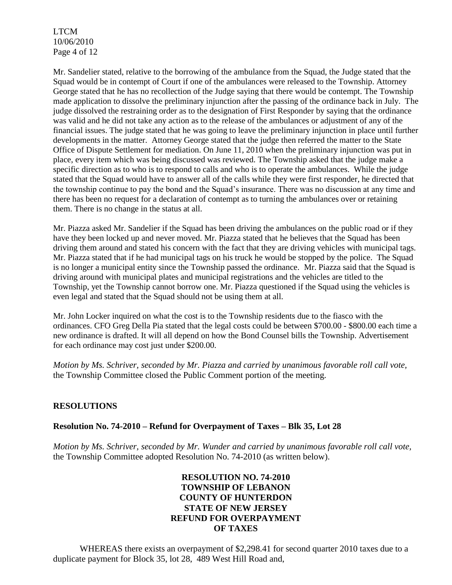LTCM 10/06/2010 Page 4 of 12

Mr. Sandelier stated, relative to the borrowing of the ambulance from the Squad, the Judge stated that the Squad would be in contempt of Court if one of the ambulances were released to the Township. Attorney George stated that he has no recollection of the Judge saying that there would be contempt. The Township made application to dissolve the preliminary injunction after the passing of the ordinance back in July. The judge dissolved the restraining order as to the designation of First Responder by saying that the ordinance was valid and he did not take any action as to the release of the ambulances or adjustment of any of the financial issues. The judge stated that he was going to leave the preliminary injunction in place until further developments in the matter. Attorney George stated that the judge then referred the matter to the State Office of Dispute Settlement for mediation. On June 11, 2010 when the preliminary injunction was put in place, every item which was being discussed was reviewed. The Township asked that the judge make a specific direction as to who is to respond to calls and who is to operate the ambulances. While the judge stated that the Squad would have to answer all of the calls while they were first responder, he directed that the township continue to pay the bond and the Squad's insurance. There was no discussion at any time and there has been no request for a declaration of contempt as to turning the ambulances over or retaining them. There is no change in the status at all.

Mr. Piazza asked Mr. Sandelier if the Squad has been driving the ambulances on the public road or if they have they been locked up and never moved. Mr. Piazza stated that he believes that the Squad has been driving them around and stated his concern with the fact that they are driving vehicles with municipal tags. Mr. Piazza stated that if he had municipal tags on his truck he would be stopped by the police. The Squad is no longer a municipal entity since the Township passed the ordinance. Mr. Piazza said that the Squad is driving around with municipal plates and municipal registrations and the vehicles are titled to the Township, yet the Township cannot borrow one. Mr. Piazza questioned if the Squad using the vehicles is even legal and stated that the Squad should not be using them at all.

Mr. John Locker inquired on what the cost is to the Township residents due to the fiasco with the ordinances. CFO Greg Della Pia stated that the legal costs could be between \$700.00 - \$800.00 each time a new ordinance is drafted. It will all depend on how the Bond Counsel bills the Township. Advertisement for each ordinance may cost just under \$200.00.

*Motion by Ms. Schriver, seconded by Mr. Piazza and carried by unanimous favorable roll call vote,* the Township Committee closed the Public Comment portion of the meeting.

## **RESOLUTIONS**

### **Resolution No. 74-2010 – Refund for Overpayment of Taxes – Blk 35, Lot 28**

*Motion by Ms. Schriver, seconded by Mr. Wunder and carried by unanimous favorable roll call vote,* the Township Committee adopted Resolution No. 74-2010 (as written below).

## **RESOLUTION NO. 74-2010 TOWNSHIP OF LEBANON COUNTY OF HUNTERDON STATE OF NEW JERSEY REFUND FOR OVERPAYMENT OF TAXES**

WHEREAS there exists an overpayment of \$2,298.41 for second quarter 2010 taxes due to a duplicate payment for Block 35, lot 28, 489 West Hill Road and,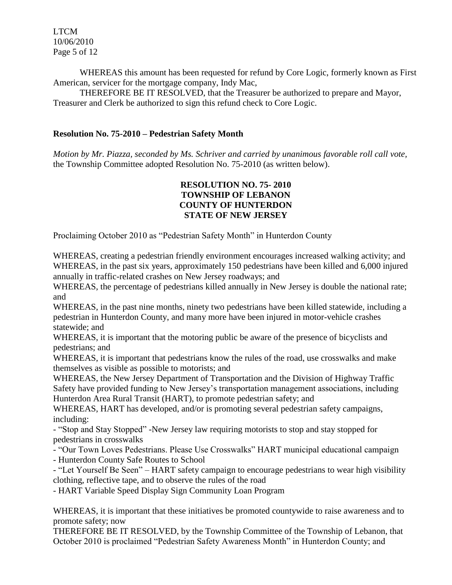LTCM 10/06/2010 Page 5 of 12

WHEREAS this amount has been requested for refund by Core Logic, formerly known as First American, servicer for the mortgage company, Indy Mac,

THEREFORE BE IT RESOLVED, that the Treasurer be authorized to prepare and Mayor, Treasurer and Clerk be authorized to sign this refund check to Core Logic.

### **Resolution No. 75-2010 – Pedestrian Safety Month**

*Motion by Mr. Piazza, seconded by Ms. Schriver and carried by unanimous favorable roll call vote,* the Township Committee adopted Resolution No. 75-2010 (as written below).

### **RESOLUTION NO. 75- 2010 TOWNSHIP OF LEBANON COUNTY OF HUNTERDON STATE OF NEW JERSEY**

Proclaiming October 2010 as "Pedestrian Safety Month" in Hunterdon County

WHEREAS, creating a pedestrian friendly environment encourages increased walking activity; and WHEREAS, in the past six years, approximately 150 pedestrians have been killed and 6,000 injured annually in traffic-related crashes on New Jersey roadways; and

WHEREAS, the percentage of pedestrians killed annually in New Jersey is double the national rate; and

WHEREAS, in the past nine months, ninety two pedestrians have been killed statewide, including a pedestrian in Hunterdon County, and many more have been injured in motor-vehicle crashes statewide; and

WHEREAS, it is important that the motoring public be aware of the presence of bicyclists and pedestrians; and

WHEREAS, it is important that pedestrians know the rules of the road, use crosswalks and make themselves as visible as possible to motorists; and

WHEREAS, the New Jersey Department of Transportation and the Division of Highway Traffic Safety have provided funding to New Jersey's transportation management associations, including Hunterdon Area Rural Transit (HART), to promote pedestrian safety; and

WHEREAS, HART has developed, and/or is promoting several pedestrian safety campaigns, including:

- "Stop and Stay Stopped" -New Jersey law requiring motorists to stop and stay stopped for pedestrians in crosswalks

- "Our Town Loves Pedestrians. Please Use Crosswalks" HART municipal educational campaign
- Hunterdon County Safe Routes to School

- "Let Yourself Be Seen" – HART safety campaign to encourage pedestrians to wear high visibility clothing, reflective tape, and to observe the rules of the road

- HART Variable Speed Display Sign Community Loan Program

WHEREAS, it is important that these initiatives be promoted countywide to raise awareness and to promote safety; now

THEREFORE BE IT RESOLVED, by the Township Committee of the Township of Lebanon, that October 2010 is proclaimed "Pedestrian Safety Awareness Month" in Hunterdon County; and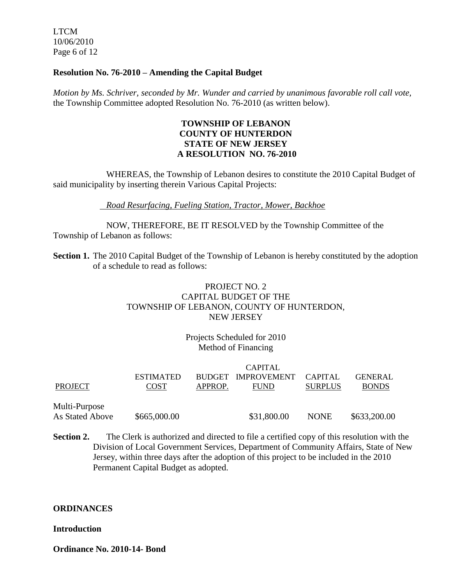LTCM 10/06/2010 Page 6 of 12

### **Resolution No. 76-2010 – Amending the Capital Budget**

*Motion by Ms. Schriver, seconded by Mr. Wunder and carried by unanimous favorable roll call vote,* the Township Committee adopted Resolution No. 76-2010 (as written below).

### **TOWNSHIP OF LEBANON COUNTY OF HUNTERDON STATE OF NEW JERSEY A RESOLUTION NO. 76-2010**

WHEREAS, the Township of Lebanon desires to constitute the 2010 Capital Budget of said municipality by inserting therein Various Capital Projects:

### *Road Resurfacing, Fueling Station, Tractor, Mower, Backhoe*

NOW, THEREFORE, BE IT RESOLVED by the Township Committee of the Township of Lebanon as follows:

**Section 1.** The 2010 Capital Budget of the Township of Lebanon is hereby constituted by the adoption of a schedule to read as follows:

## PROJECT NO. 2 CAPITAL BUDGET OF THE TOWNSHIP OF LEBANON, COUNTY OF HUNTERDON, NEW JERSEY

## Projects Scheduled for 2010 Method of Financing

|                 | <b>CAPITAL</b>   |               |                    |                |                |
|-----------------|------------------|---------------|--------------------|----------------|----------------|
|                 | <b>ESTIMATED</b> | <b>BUDGET</b> | <b>IMPROVEMENT</b> | CAPITAL        | <b>GENERAL</b> |
| <b>PROJECT</b>  | <b>COST</b>      | APPROP.       | <b>FUND</b>        | <b>SURPLUS</b> | <b>BONDS</b>   |
|                 |                  |               |                    |                |                |
| Multi-Purpose   |                  |               |                    |                |                |
| As Stated Above | \$665,000.00     |               | \$31,800.00        | <b>NONE</b>    | \$633,200.00   |
|                 |                  |               |                    |                |                |

**Section 2.** The Clerk is authorized and directed to file a certified copy of this resolution with the Division of Local Government Services, Department of Community Affairs, State of New Jersey, within three days after the adoption of this project to be included in the 2010 Permanent Capital Budget as adopted.

#### **ORDINANCES**

#### **Introduction**

**Ordinance No. 2010-14- Bond**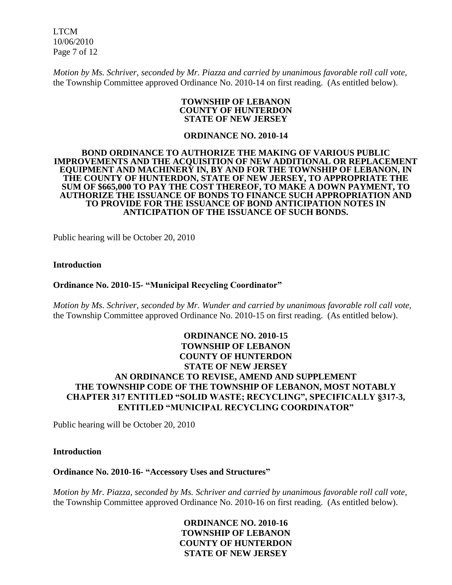LTCM 10/06/2010 Page 7 of 12

*Motion by Ms. Schriver, seconded by Mr. Piazza and carried by unanimous favorable roll call vote,* the Township Committee approved Ordinance No. 2010-14 on first reading. (As entitled below).

#### **TOWNSHIP OF LEBANON COUNTY OF HUNTERDON STATE OF NEW JERSEY**

#### **ORDINANCE NO. 2010-14**

#### **BOND ORDINANCE TO AUTHORIZE THE MAKING OF VARIOUS PUBLIC IMPROVEMENTS AND THE ACQUISITION OF NEW ADDITIONAL OR REPLACEMENT EQUIPMENT AND MACHINERY IN, BY AND FOR THE TOWNSHIP OF LEBANON, IN THE COUNTY OF HUNTERDON, STATE OF NEW JERSEY, TO APPROPRIATE THE SUM OF \$665,000 TO PAY THE COST THEREOF, TO MAKE A DOWN PAYMENT, TO AUTHORIZE THE ISSUANCE OF BONDS TO FINANCE SUCH APPROPRIATION AND TO PROVIDE FOR THE ISSUANCE OF BOND ANTICIPATION NOTES IN ANTICIPATION OF THE ISSUANCE OF SUCH BONDS.**

Public hearing will be October 20, 2010

#### **Introduction**

#### **Ordinance No. 2010-15- "Municipal Recycling Coordinator"**

*Motion by Ms. Schriver, seconded by Mr. Wunder and carried by unanimous favorable roll call vote,* the Township Committee approved Ordinance No. 2010-15 on first reading. (As entitled below).

### **ORDINANCE NO. 2010-15 TOWNSHIP OF LEBANON COUNTY OF HUNTERDON STATE OF NEW JERSEY AN ORDINANCE TO REVISE, AMEND AND SUPPLEMENT THE TOWNSHIP CODE OF THE TOWNSHIP OF LEBANON, MOST NOTABLY CHAPTER 317 ENTITLED "SOLID WASTE; RECYCLING", SPECIFICALLY §317-3, ENTITLED "MUNICIPAL RECYCLING COORDINATOR"**

Public hearing will be October 20, 2010

#### **Introduction**

#### **Ordinance No. 2010-16- "Accessory Uses and Structures"**

*Motion by Mr. Piazza, seconded by Ms. Schriver and carried by unanimous favorable roll call vote,* the Township Committee approved Ordinance No. 2010-16 on first reading. (As entitled below).

> **ORDINANCE NO. 2010-16 TOWNSHIP OF LEBANON COUNTY OF HUNTERDON STATE OF NEW JERSEY**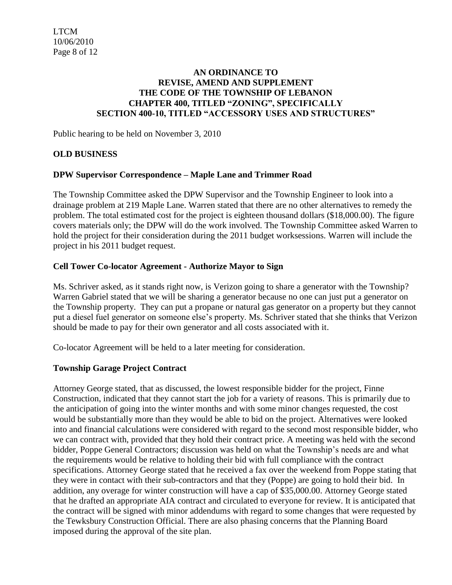### **AN ORDINANCE TO REVISE, AMEND AND SUPPLEMENT THE CODE OF THE TOWNSHIP OF LEBANON CHAPTER 400, TITLED "ZONING", SPECIFICALLY SECTION 400-10, TITLED "ACCESSORY USES AND STRUCTURES"**

Public hearing to be held on November 3, 2010

### **OLD BUSINESS**

### **DPW Supervisor Correspondence – Maple Lane and Trimmer Road**

The Township Committee asked the DPW Supervisor and the Township Engineer to look into a drainage problem at 219 Maple Lane. Warren stated that there are no other alternatives to remedy the problem. The total estimated cost for the project is eighteen thousand dollars (\$18,000.00). The figure covers materials only; the DPW will do the work involved. The Township Committee asked Warren to hold the project for their consideration during the 2011 budget worksessions. Warren will include the project in his 2011 budget request.

### **Cell Tower Co-locator Agreement - Authorize Mayor to Sign**

Ms. Schriver asked, as it stands right now, is Verizon going to share a generator with the Township? Warren Gabriel stated that we will be sharing a generator because no one can just put a generator on the Township property. They can put a propane or natural gas generator on a property but they cannot put a diesel fuel generator on someone else's property. Ms. Schriver stated that she thinks that Verizon should be made to pay for their own generator and all costs associated with it.

Co-locator Agreement will be held to a later meeting for consideration.

### **Township Garage Project Contract**

Attorney George stated, that as discussed, the lowest responsible bidder for the project, Finne Construction, indicated that they cannot start the job for a variety of reasons. This is primarily due to the anticipation of going into the winter months and with some minor changes requested, the cost would be substantially more than they would be able to bid on the project. Alternatives were looked into and financial calculations were considered with regard to the second most responsible bidder, who we can contract with, provided that they hold their contract price. A meeting was held with the second bidder, Poppe General Contractors; discussion was held on what the Township's needs are and what the requirements would be relative to holding their bid with full compliance with the contract specifications. Attorney George stated that he received a fax over the weekend from Poppe stating that they were in contact with their sub-contractors and that they (Poppe) are going to hold their bid. In addition, any overage for winter construction will have a cap of \$35,000.00. Attorney George stated that he drafted an appropriate AIA contract and circulated to everyone for review. It is anticipated that the contract will be signed with minor addendums with regard to some changes that were requested by the Tewksbury Construction Official. There are also phasing concerns that the Planning Board imposed during the approval of the site plan.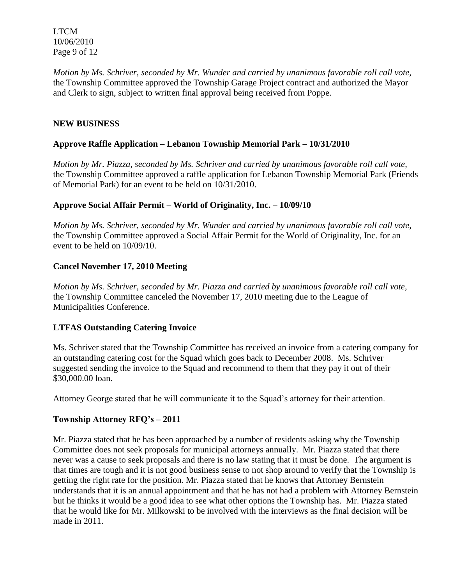LTCM 10/06/2010 Page 9 of 12

*Motion by Ms. Schriver, seconded by Mr. Wunder and carried by unanimous favorable roll call vote,* the Township Committee approved the Township Garage Project contract and authorized the Mayor and Clerk to sign, subject to written final approval being received from Poppe.

## **NEW BUSINESS**

## **Approve Raffle Application – Lebanon Township Memorial Park – 10/31/2010**

*Motion by Mr. Piazza, seconded by Ms. Schriver and carried by unanimous favorable roll call vote,* the Township Committee approved a raffle application for Lebanon Township Memorial Park (Friends of Memorial Park) for an event to be held on 10/31/2010.

## **Approve Social Affair Permit – World of Originality, Inc. – 10/09/10**

*Motion by Ms. Schriver, seconded by Mr. Wunder and carried by unanimous favorable roll call vote,* the Township Committee approved a Social Affair Permit for the World of Originality, Inc. for an event to be held on 10/09/10.

### **Cancel November 17, 2010 Meeting**

*Motion by Ms. Schriver, seconded by Mr. Piazza and carried by unanimous favorable roll call vote,* the Township Committee canceled the November 17, 2010 meeting due to the League of Municipalities Conference.

## **LTFAS Outstanding Catering Invoice**

Ms. Schriver stated that the Township Committee has received an invoice from a catering company for an outstanding catering cost for the Squad which goes back to December 2008. Ms. Schriver suggested sending the invoice to the Squad and recommend to them that they pay it out of their \$30,000.00 loan.

Attorney George stated that he will communicate it to the Squad's attorney for their attention.

## **Township Attorney RFQ's – 2011**

Mr. Piazza stated that he has been approached by a number of residents asking why the Township Committee does not seek proposals for municipal attorneys annually. Mr. Piazza stated that there never was a cause to seek proposals and there is no law stating that it must be done. The argument is that times are tough and it is not good business sense to not shop around to verify that the Township is getting the right rate for the position. Mr. Piazza stated that he knows that Attorney Bernstein understands that it is an annual appointment and that he has not had a problem with Attorney Bernstein but he thinks it would be a good idea to see what other options the Township has. Mr. Piazza stated that he would like for Mr. Milkowski to be involved with the interviews as the final decision will be made in 2011.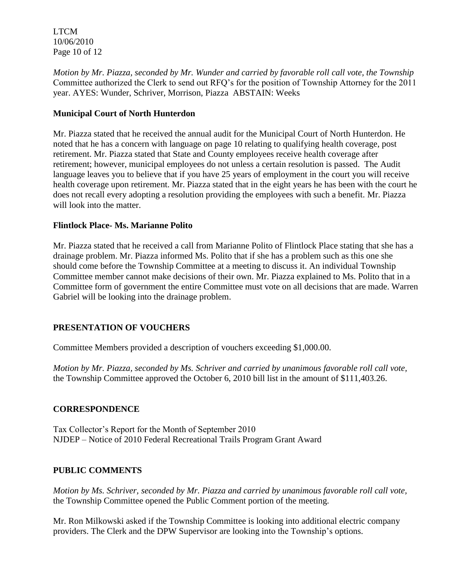LTCM 10/06/2010 Page 10 of 12

*Motion by Mr. Piazza, seconded by Mr. Wunder and carried by favorable roll call vote, the Township* Committee authorized the Clerk to send out RFQ's for the position of Township Attorney for the 2011 year. AYES: Wunder, Schriver, Morrison, Piazza ABSTAIN: Weeks

## **Municipal Court of North Hunterdon**

Mr. Piazza stated that he received the annual audit for the Municipal Court of North Hunterdon. He noted that he has a concern with language on page 10 relating to qualifying health coverage, post retirement. Mr. Piazza stated that State and County employees receive health coverage after retirement; however, municipal employees do not unless a certain resolution is passed. The Audit language leaves you to believe that if you have 25 years of employment in the court you will receive health coverage upon retirement. Mr. Piazza stated that in the eight years he has been with the court he does not recall every adopting a resolution providing the employees with such a benefit. Mr. Piazza will look into the matter.

## **Flintlock Place- Ms. Marianne Polito**

Mr. Piazza stated that he received a call from Marianne Polito of Flintlock Place stating that she has a drainage problem. Mr. Piazza informed Ms. Polito that if she has a problem such as this one she should come before the Township Committee at a meeting to discuss it. An individual Township Committee member cannot make decisions of their own. Mr. Piazza explained to Ms. Polito that in a Committee form of government the entire Committee must vote on all decisions that are made. Warren Gabriel will be looking into the drainage problem.

# **PRESENTATION OF VOUCHERS**

Committee Members provided a description of vouchers exceeding \$1,000.00.

*Motion by Mr. Piazza, seconded by Ms. Schriver and carried by unanimous favorable roll call vote,* the Township Committee approved the October 6, 2010 bill list in the amount of \$111,403.26.

## **CORRESPONDENCE**

Tax Collector's Report for the Month of September 2010 NJDEP – Notice of 2010 Federal Recreational Trails Program Grant Award

## **PUBLIC COMMENTS**

*Motion by Ms. Schriver, seconded by Mr. Piazza and carried by unanimous favorable roll call vote,* the Township Committee opened the Public Comment portion of the meeting.

Mr. Ron Milkowski asked if the Township Committee is looking into additional electric company providers. The Clerk and the DPW Supervisor are looking into the Township's options.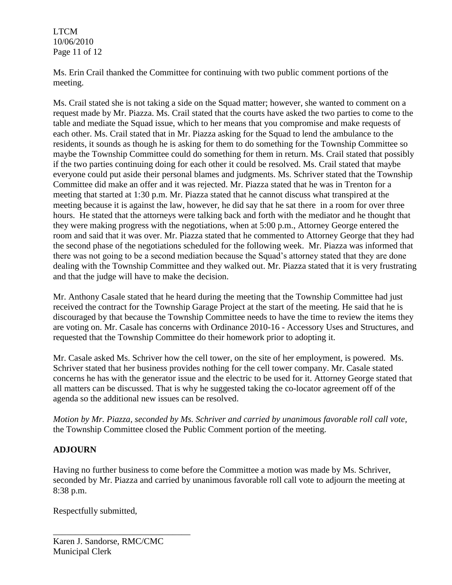LTCM 10/06/2010 Page 11 of 12

Ms. Erin Crail thanked the Committee for continuing with two public comment portions of the meeting.

Ms. Crail stated she is not taking a side on the Squad matter; however, she wanted to comment on a request made by Mr. Piazza. Ms. Crail stated that the courts have asked the two parties to come to the table and mediate the Squad issue, which to her means that you compromise and make requests of each other. Ms. Crail stated that in Mr. Piazza asking for the Squad to lend the ambulance to the residents, it sounds as though he is asking for them to do something for the Township Committee so maybe the Township Committee could do something for them in return. Ms. Crail stated that possibly if the two parties continuing doing for each other it could be resolved. Ms. Crail stated that maybe everyone could put aside their personal blames and judgments. Ms. Schriver stated that the Township Committee did make an offer and it was rejected. Mr. Piazza stated that he was in Trenton for a meeting that started at 1:30 p.m. Mr. Piazza stated that he cannot discuss what transpired at the meeting because it is against the law, however, he did say that he sat there in a room for over three hours. He stated that the attorneys were talking back and forth with the mediator and he thought that they were making progress with the negotiations, when at 5:00 p.m., Attorney George entered the room and said that it was over. Mr. Piazza stated that he commented to Attorney George that they had the second phase of the negotiations scheduled for the following week. Mr. Piazza was informed that there was not going to be a second mediation because the Squad's attorney stated that they are done dealing with the Township Committee and they walked out. Mr. Piazza stated that it is very frustrating and that the judge will have to make the decision.

Mr. Anthony Casale stated that he heard during the meeting that the Township Committee had just received the contract for the Township Garage Project at the start of the meeting. He said that he is discouraged by that because the Township Committee needs to have the time to review the items they are voting on. Mr. Casale has concerns with Ordinance 2010-16 - Accessory Uses and Structures, and requested that the Township Committee do their homework prior to adopting it.

Mr. Casale asked Ms. Schriver how the cell tower, on the site of her employment, is powered. Ms. Schriver stated that her business provides nothing for the cell tower company. Mr. Casale stated concerns he has with the generator issue and the electric to be used for it. Attorney George stated that all matters can be discussed. That is why he suggested taking the co-locator agreement off of the agenda so the additional new issues can be resolved.

*Motion by Mr. Piazza, seconded by Ms. Schriver and carried by unanimous favorable roll call vote,* the Township Committee closed the Public Comment portion of the meeting.

# **ADJOURN**

Having no further business to come before the Committee a motion was made by Ms. Schriver, seconded by Mr. Piazza and carried by unanimous favorable roll call vote to adjourn the meeting at 8:38 p.m.

Respectfully submitted,

\_\_\_\_\_\_\_\_\_\_\_\_\_\_\_\_\_\_\_\_\_\_\_\_\_\_\_\_\_\_\_